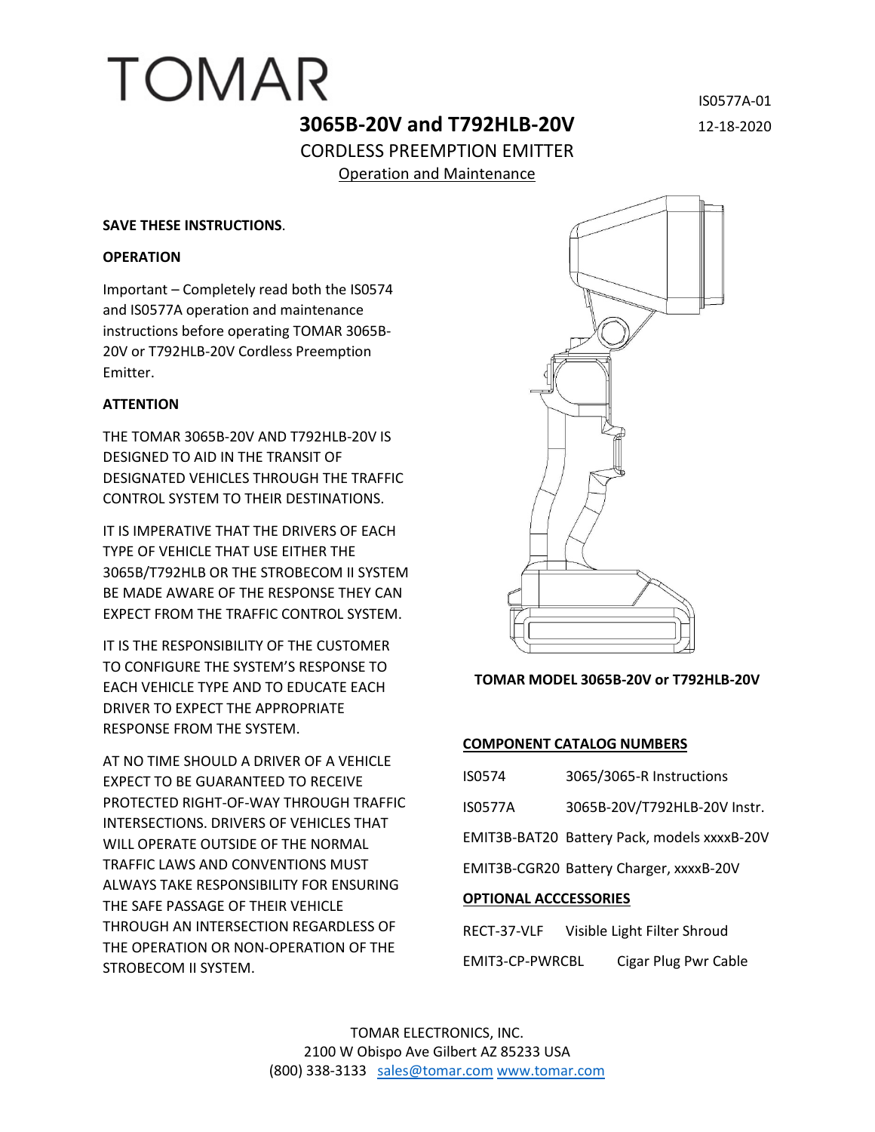# **3065B-20V and T792HLB-20V** 12-18-2020 CORDLESS PREEMPTION EMITTER Operation and Maintenance

TOMAR

#### **SAVE THESE INSTRUCTIONS**.

#### **OPERATION**

Important – Completely read both the IS0574 and IS0577A operation and maintenance instructions before operating TOMAR 3065B-20V or T792HLB-20V Cordless Preemption Emitter.

## **ATTENTION**

THE TOMAR 3065B-20V AND T792HLB-20V IS DESIGNED TO AID IN THE TRANSIT OF DESIGNATED VEHICLES THROUGH THE TRAFFIC CONTROL SYSTEM TO THEIR DESTINATIONS.

IT IS IMPERATIVE THAT THE DRIVERS OF EACH TYPE OF VEHICLE THAT USE EITHER THE 3065B/T792HLB OR THE STROBECOM II SYSTEM BE MADE AWARE OF THE RESPONSE THEY CAN EXPECT FROM THE TRAFFIC CONTROL SYSTEM.

IT IS THE RESPONSIBILITY OF THE CUSTOMER TO CONFIGURE THE SYSTEM'S RESPONSE TO EACH VEHICLE TYPE AND TO EDUCATE EACH DRIVER TO EXPECT THE APPROPRIATE RESPONSE FROM THE SYSTEM.

AT NO TIME SHOULD A DRIVER OF A VEHICLE EXPECT TO BE GUARANTEED TO RECEIVE PROTECTED RIGHT-OF-WAY THROUGH TRAFFIC INTERSECTIONS. DRIVERS OF VEHICLES THAT WILL OPERATE OUTSIDE OF THE NORMAL TRAFFIC LAWS AND CONVENTIONS MUST ALWAYS TAKE RESPONSIBILITY FOR ENSURING THE SAFE PASSAGE OF THEIR VEHICLE THROUGH AN INTERSECTION REGARDLESS OF THE OPERATION OR NON-OPERATION OF THE STROBECOM II SYSTEM.



## **TOMAR MODEL 3065B-20V or T792HLB-20V**

## **COMPONENT CATALOG NUMBERS**

| IS0574                       | 3065/3065-R Instructions                    |  |
|------------------------------|---------------------------------------------|--|
| <b>IS0577A</b>               | 3065B-20V/T792HLB-20V Instr.                |  |
|                              | EMIT3B-BAT20 Battery Pack, models xxxxB-20V |  |
|                              | EMIT3B-CGR20 Battery Charger, xxxxB-20V     |  |
| <b>OPTIONAL ACCCESSORIES</b> |                                             |  |
| RECT-37-VLF                  | Visible Light Filter Shroud                 |  |

EMIT3-CP-PWRCBL Cigar Plug Pwr Cable